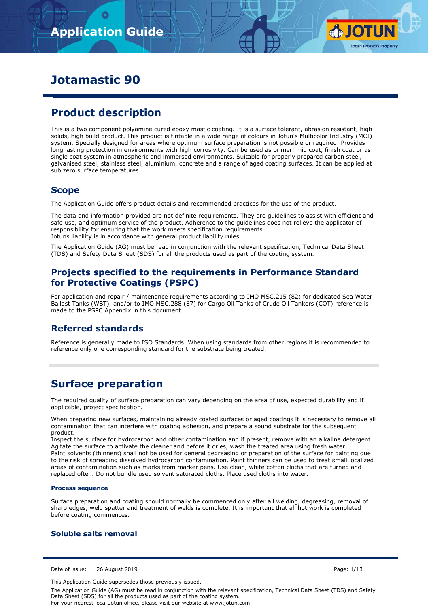

# **Jotamastic 90**

# **Product description**

This is a two component polyamine cured epoxy mastic coating. It is a surface tolerant, abrasion resistant, high solids, high build product. This product is tintable in a wide range of colours in Jotun's Multicolor Industry (MCI) system. Specially designed for areas where optimum surface preparation is not possible or required. Provides long lasting protection in environments with high corrosivity. Can be used as primer, mid coat, finish coat or as single coat system in atmospheric and immersed environments. Suitable for properly prepared carbon steel, galvanised steel, stainless steel, aluminium, concrete and a range of aged coating surfaces. It can be applied at sub zero surface temperatures.

## **Scope**

The Application Guide offers product details and recommended practices for the use of the product.

The data and information provided are not definite requirements. They are guidelines to assist with efficient and safe use, and optimum service of the product. Adherence to the guidelines does not relieve the applicator of responsibility for ensuring that the work meets specification requirements. Jotuns liability is in accordance with general product liability rules.

The Application Guide (AG) must be read in conjunction with the relevant specification, Technical Data Sheet (TDS) and Safety Data Sheet (SDS) for all the products used as part of the coating system.

## **Projects specified to the requirements in Performance Standard for Protective Coatings (PSPC)**

For application and repair / maintenance requirements according to IMO MSC.215 (82) for dedicated Sea Water Ballast Tanks (WBT), and/or to IMO MSC.288 (87) for Cargo Oil Tanks of Crude Oil Tankers (COT) reference is made to the PSPC Appendix in this document.

## **Referred standards**

Reference is generally made to ISO Standards. When using standards from other regions it is recommended to reference only one corresponding standard for the substrate being treated.

## **Surface preparation**

The required quality of surface preparation can vary depending on the area of use, expected durability and if applicable, project specification.

When preparing new surfaces, maintaining already coated surfaces or aged coatings it is necessary to remove all contamination that can interfere with coating adhesion, and prepare a sound substrate for the subsequent product.

Inspect the surface for hydrocarbon and other contamination and if present, remove with an alkaline detergent. Agitate the surface to activate the cleaner and before it dries, wash the treated area using fresh water. Paint solvents (thinners) shall not be used for general degreasing or preparation of the surface for painting due to the risk of spreading dissolved hydrocarbon contamination. Paint thinners can be used to treat small localized areas of contamination such as marks from marker pens. Use clean, white cotton cloths that are turned and replaced often. Do not bundle used solvent saturated cloths. Place used cloths into water.

### **Process sequence**

Surface preparation and coating should normally be commenced only after all welding, degreasing, removal of sharp edges, weld spatter and treatment of welds is complete. It is important that all hot work is completed before coating commences.

## **Soluble salts removal**

Date of issue: 26 August 2019 Page: 1/13

This Application Guide supersedes those previously issued.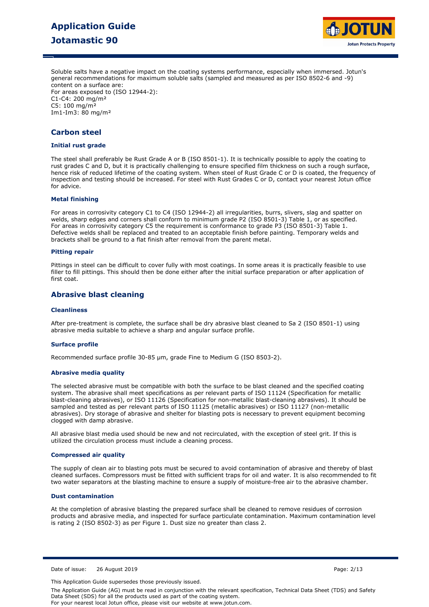# **Application Guide Jotamastic 90**



Soluble salts have a negative impact on the coating systems performance, especially when immersed. Jotun's general recommendations for maximum soluble salts (sampled and measured as per ISO 8502-6 and -9) content on a surface are:

For areas exposed to (ISO 12944-2): C1-C4: 200 mg/m² C5: 100 mg/m² Im1-Im3: 80 mg/m²

## **Carbon steel**

## **Initial rust grade**

The steel shall preferably be Rust Grade A or B (ISO 8501-1). It is technically possible to apply the coating to rust grades C and D, but it is practically challenging to ensure specified film thickness on such a rough surface, hence risk of reduced lifetime of the coating system. When steel of Rust Grade C or D is coated, the frequency of inspection and testing should be increased. For steel with Rust Grades C or D, contact your nearest Jotun office for advice.

#### **Metal finishing**

For areas in corrosivity category C1 to C4 (ISO 12944-2) all irregularities, burrs, slivers, slag and spatter on welds, sharp edges and corners shall conform to minimum grade P2 (ISO 8501-3) Table 1, or as specified. For areas in corrosivity category C5 the requirement is conformance to grade P3 (ISO 8501-3) Table 1. Defective welds shall be replaced and treated to an acceptable finish before painting. Temporary welds and brackets shall be ground to a flat finish after removal from the parent metal.

#### **Pitting repair**

Pittings in steel can be difficult to cover fully with most coatings. In some areas it is practically feasible to use filler to fill pittings. This should then be done either after the initial surface preparation or after application of first coat.

## **Abrasive blast cleaning**

#### **Cleanliness**

After pre-treatment is complete, the surface shall be dry abrasive blast cleaned to Sa 2 (ISO 8501-1) using abrasive media suitable to achieve a sharp and angular surface profile.

#### **Surface profile**

Recommended surface profile 30-85 µm, grade Fine to Medium G (ISO 8503-2).

#### **Abrasive media quality**

The selected abrasive must be compatible with both the surface to be blast cleaned and the specified coating system. The abrasive shall meet specifications as per relevant parts of ISO 11124 (Specification for metallic blast-cleaning abrasives), or ISO 11126 (Specification for non-metallic blast-cleaning abrasives). It should be sampled and tested as per relevant parts of ISO 11125 (metallic abrasives) or ISO 11127 (non-metallic abrasives). Dry storage of abrasive and shelter for blasting pots is necessary to prevent equipment becoming clogged with damp abrasive.

All abrasive blast media used should be new and not recirculated, with the exception of steel grit. If this is utilized the circulation process must include a cleaning process.

#### **Compressed air quality**

The supply of clean air to blasting pots must be secured to avoid contamination of abrasive and thereby of blast cleaned surfaces. Compressors must be fitted with sufficient traps for oil and water. It is also recommended to fit two water separators at the blasting machine to ensure a supply of moisture-free air to the abrasive chamber.

#### **Dust contamination**

At the completion of abrasive blasting the prepared surface shall be cleaned to remove residues of corrosion products and abrasive media, and inspected for surface particulate contamination. Maximum contamination level is rating 2 (ISO 8502-3) as per Figure 1. Dust size no greater than class 2.

Date of issue: 26 August 2019 Page: 2/13

This Application Guide supersedes those previously issued.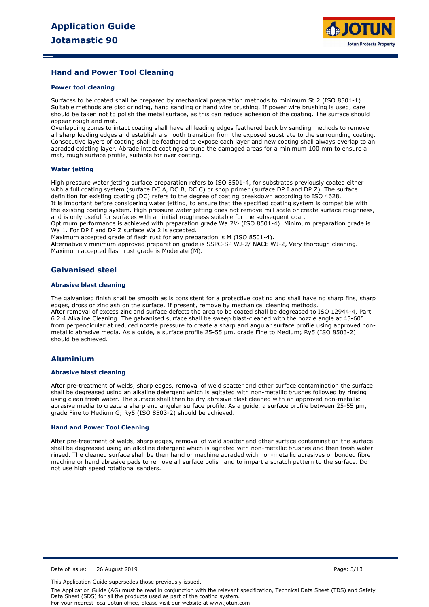

## **Hand and Power Tool Cleaning**

#### **Power tool cleaning**

Surfaces to be coated shall be prepared by mechanical preparation methods to minimum St 2 (ISO 8501-1). Suitable methods are disc grinding, hand sanding or hand wire brushing. If power wire brushing is used, care should be taken not to polish the metal surface, as this can reduce adhesion of the coating. The surface should appear rough and mat.

Overlapping zones to intact coating shall have all leading edges feathered back by sanding methods to remove all sharp leading edges and establish a smooth transition from the exposed substrate to the surrounding coating. Consecutive layers of coating shall be feathered to expose each layer and new coating shall always overlap to an abraded existing layer. Abrade intact coatings around the damaged areas for a minimum 100 mm to ensure a mat, rough surface profile, suitable for over coating.

#### **Water jetting**

High pressure water jetting surface preparation refers to ISO 8501-4, for substrates previously coated either with a full coating system (surface DC A, DC B, DC C) or shop primer (surface DP I and DP Z). The surface definition for existing coating (DC) refers to the degree of coating breakdown according to ISO 4628. It is important before considering water jetting, to ensure that the specified coating system is compatible with the existing coating system. High pressure water jetting does not remove mill scale or create surface roughness, and is only useful for surfaces with an initial roughness suitable for the subsequent coat.

Optimum performance is achieved with preparation grade Wa 2½ (ISO 8501-4). Minimum preparation grade is Wa 1. For DP I and DP Z surface Wa 2 is accepted.

Maximum accepted grade of flash rust for any preparation is M (ISO 8501-4).

Alternatively minimum approved preparation grade is SSPC-SP WJ-2/ NACE WJ-2, Very thorough cleaning. Maximum accepted flash rust grade is Moderate (M).

## **Galvanised steel**

#### **Abrasive blast cleaning**

The galvanised finish shall be smooth as is consistent for a protective coating and shall have no sharp fins, sharp edges, dross or zinc ash on the surface. If present, remove by mechanical cleaning methods. After removal of excess zinc and surface defects the area to be coated shall be degreased to ISO 12944-4, Part 6.2.4 Alkaline Cleaning. The galvanised surface shall be sweep blast-cleaned with the nozzle angle at 45-60° from perpendicular at reduced nozzle pressure to create a sharp and angular surface profile using approved nonmetallic abrasive media. As a guide, a surface profile 25-55 µm, grade Fine to Medium; Ry5 (ISO 8503-2) should be achieved.

### **Aluminium**

#### **Abrasive blast cleaning**

After pre-treatment of welds, sharp edges, removal of weld spatter and other surface contamination the surface shall be degreased using an alkaline detergent which is agitated with non-metallic brushes followed by rinsing using clean fresh water. The surface shall then be dry abrasive blast cleaned with an approved non-metallic abrasive media to create a sharp and angular surface profile. As a guide, a surface profile between 25-55 μm, grade Fine to Medium G; Ry5 (ISO 8503-2) should be achieved.

#### **Hand and Power Tool Cleaning**

After pre-treatment of welds, sharp edges, removal of weld spatter and other surface contamination the surface shall be degreased using an alkaline detergent which is agitated with non-metallic brushes and then fresh water rinsed. The cleaned surface shall be then hand or machine abraded with non-metallic abrasives or bonded fibre machine or hand abrasive pads to remove all surface polish and to impart a scratch pattern to the surface. Do not use high speed rotational sanders.

Date of issue: 26 August 2019 Page: 3/13

This Application Guide supersedes those previously issued.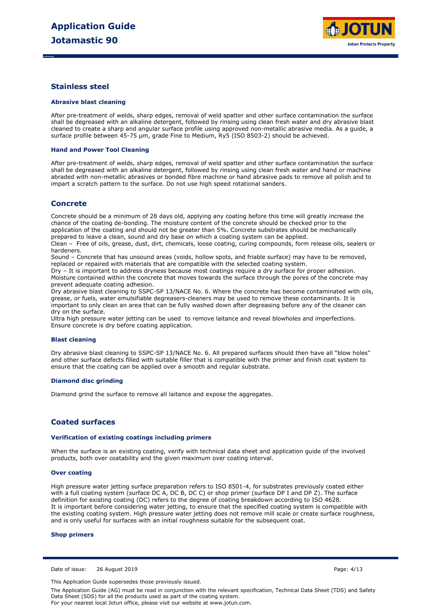

## **Stainless steel**

#### **Abrasive blast cleaning**

After pre-treatment of welds, sharp edges, removal of weld spatter and other surface contamination the surface shall be degreased with an alkaline detergent, followed by rinsing using clean fresh water and dry abrasive blast cleaned to create a sharp and angular surface profile using approved non-metallic abrasive media. As a guide, a surface profile between 45-75 µm, grade Fine to Medium, Ry5 (ISO 8503-2) should be achieved.

#### **Hand and Power Tool Cleaning**

After pre-treatment of welds, sharp edges, removal of weld spatter and other surface contamination the surface shall be degreased with an alkaline detergent, followed by rinsing using clean fresh water and hand or machine abraded with non-metallic abrasives or bonded fibre machine or hand abrasive pads to remove all polish and to impart a scratch pattern to the surface. Do not use high speed rotational sanders.

## **Concrete**

Concrete should be a minimum of 28 days old, applying any coating before this time will greatly increase the chance of the coating de-bonding. The moisture content of the concrete should be checked prior to the application of the coating and should not be greater than 5%. Concrete substrates should be mechanically prepared to leave a clean, sound and dry base on which a coating system can be applied.

Clean – Free of oils, grease, dust, dirt, chemicals, loose coating, curing compounds, form release oils, sealers or hardeners.

Sound – Concrete that has unsound areas (voids, hollow spots, and friable surface) may have to be removed, replaced or repaired with materials that are compatible with the selected coating system.

Dry – It is important to address dryness because most coatings require a dry surface for proper adhesion. Moisture contained within the concrete that moves towards the surface through the pores of the concrete may prevent adequate coating adhesion.

Dry abrasive blast cleaning to SSPC-SP 13/NACE No. 6. Where the concrete has become contaminated with oils, grease, or fuels, water emulsifiable degreasers-cleaners may be used to remove these contaminants. It is important to only clean an area that can be fully washed down after degreasing before any of the cleaner can dry on the surface.

Ultra high pressure water jetting can be used to remove laitance and reveal blowholes and imperfections. Ensure concrete is dry before coating application.

#### **Blast cleaning**

Dry abrasive blast cleaning to SSPC-SP 13/NACE No. 6. All prepared surfaces should then have all "blow holes" and other surface defects filled with suitable filler that is compatible with the primer and finish coat system to ensure that the coating can be applied over a smooth and regular substrate.

#### **Diamond disc grinding**

Diamond grind the surface to remove all laitance and expose the aggregates.

## **Coated surfaces**

#### **Verification of existing coatings including primers**

When the surface is an existing coating, verify with technical data sheet and application guide of the involved products, both over coatability and the given maximum over coating interval.

#### **Over coating**

High pressure water jetting surface preparation refers to ISO 8501-4, for substrates previously coated either with a full coating system (surface DC A, DC B, DC C) or shop primer (surface DP I and DP Z). The surface definition for existing coating (DC) refers to the degree of coating breakdown according to ISO 4628. It is important before considering water jetting, to ensure that the specified coating system is compatible with the existing coating system. High pressure water jetting does not remove mill scale or create surface roughness, and is only useful for surfaces with an initial roughness suitable for the subsequent coat.

#### **Shop primers**

Date of issue: 26 August 2019 Page: 4/13

This Application Guide supersedes those previously issued.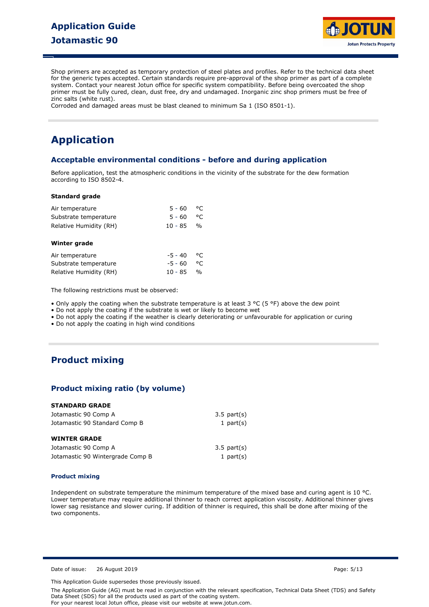# **Application Guide Jotamastic 90**



Shop primers are accepted as temporary protection of steel plates and profiles. Refer to the technical data sheet for the generic types accepted. Certain standards require pre-approval of the shop primer as part of a complete system. Contact your nearest Jotun office for specific system compatibility. Before being overcoated the shop primer must be fully cured, clean, dust free, dry and undamaged. Inorganic zinc shop primers must be free of zinc salts (white rust).

Corroded and damaged areas must be blast cleaned to minimum Sa 1 (ISO 8501-1).

# **Application**

## **Acceptable environmental conditions - before and during application**

Before application, test the atmospheric conditions in the vicinity of the substrate for the dew formation according to ISO 8502-4.

#### **Standard grade**

| Air temperature        | $5 - 60$  | °C            |  |
|------------------------|-----------|---------------|--|
| Substrate temperature  | $5 - 60$  | °C            |  |
| Relative Humidity (RH) | 10 - 85   | $\frac{1}{2}$ |  |
| Winter grade           |           |               |  |
| Air temperature        | $-5 - 40$ | °C            |  |
| Substrate temperature  | $-5 - 60$ | °C            |  |
| Relative Humidity (RH) | $10 - 85$ | $\frac{0}{0}$ |  |

The following restrictions must be observed:

• Only apply the coating when the substrate temperature is at least  $3 \text{ °C}$  (5 °F) above the dew point

• Do not apply the coating if the substrate is wet or likely to become wet

• Do not apply the coating if the weather is clearly deteriorating or unfavourable for application or curing

• Do not apply the coating in high wind conditions

## **Product mixing**

## **Product mixing ratio (by volume)**

### **STANDARD GRADE**

| Jotamastic 90 Comp A             | $3.5$ part $(s)$ |
|----------------------------------|------------------|
| Jotamastic 90 Standard Comp B    | 1 part $(s)$     |
| <b>WINTER GRADE</b>              |                  |
| Jotamastic 90 Comp A             | $3.5$ part $(s)$ |
| Jotamastic 90 Wintergrade Comp B | 1 part $(s)$     |

#### **Product mixing**

Independent on substrate temperature the minimum temperature of the mixed base and curing agent is 10 °C. Lower temperature may require additional thinner to reach correct application viscosity. Additional thinner gives lower sag resistance and slower curing. If addition of thinner is required, this shall be done after mixing of the two components.

Date of issue: 26 August 2019 Page: 5/13

This Application Guide supersedes those previously issued.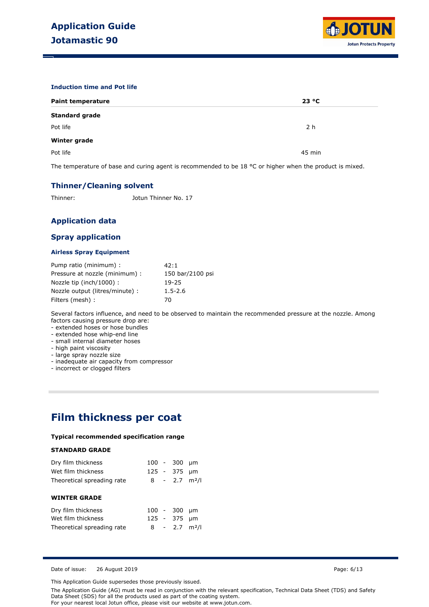

#### **Induction time and Pot life**

| <b>Paint temperature</b> | 23 °C          |
|--------------------------|----------------|
| <b>Standard grade</b>    |                |
| Pot life                 | 2 <sub>h</sub> |
| <b>Winter grade</b>      |                |
| Pot life                 | 45 min         |

The temperature of base and curing agent is recommended to be 18 °C or higher when the product is mixed.

## **Thinner/Cleaning solvent**

Thinner: Jotun Thinner No. 17

## **Application data**

## **Spray application**

#### **Airless Spray Equipment**

| Pump ratio (minimum) :          | 42:1             |
|---------------------------------|------------------|
| Pressure at nozzle (minimum) :  | 150 bar/2100 psi |
| Nozzle tip (inch/1000):         | 19-25            |
| Nozzle output (litres/minute) : | $1.5 - 2.6$      |
| Filters (mesh) :                | 70               |

Several factors influence, and need to be observed to maintain the recommended pressure at the nozzle. Among factors causing pressure drop are:

- extended hoses or hose bundles

- extended hose whip-end line

- small internal diameter hoses

- high paint viscosity

- large spray nozzle size

- inadequate air capacity from compressor

- incorrect or clogged filters

## **Film thickness per coat**

### **Typical recommended specification range**

### **STANDARD GRADE**

| Dry film thickness         |             | $100 - 300$ µm              |      |
|----------------------------|-------------|-----------------------------|------|
| Wet film thickness         |             | 125 - 375 µm                |      |
| Theoretical spreading rate |             | $8 - 2.7$ m <sup>2</sup> /l |      |
|                            |             |                             |      |
| <b>WINTER GRADE</b>        |             |                             |      |
| Dry film thickness         | $100 - 300$ |                             | - um |
| Wet film thickness         |             | 125 - 375 µm                |      |
|                            |             |                             |      |
| Theoretical spreading rate |             | $8 - 2.7$ m <sup>2</sup> /l |      |

Date of issue: 26 August 2019 **Page: 6/13** Page: 6/13

This Application Guide supersedes those previously issued.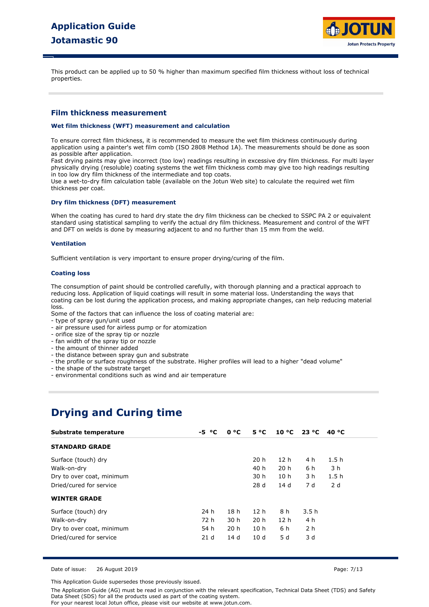

This product can be applied up to 50 % higher than maximum specified film thickness without loss of technical properties.

## **Film thickness measurement**

#### **Wet film thickness (WFT) measurement and calculation**

To ensure correct film thickness, it is recommended to measure the wet film thickness continuously during application using a painter's wet film comb (ISO 2808 Method 1A). The measurements should be done as soon as possible after application.

Fast drying paints may give incorrect (too low) readings resulting in excessive dry film thickness. For multi layer physically drying (resoluble) coating systems the wet film thickness comb may give too high readings resulting in too low dry film thickness of the intermediate and top coats.

Use a wet-to-dry film calculation table (available on the Jotun Web site) to calculate the required wet film thickness per coat.

#### **Dry film thickness (DFT) measurement**

When the coating has cured to hard dry state the dry film thickness can be checked to SSPC PA 2 or equivalent standard using statistical sampling to verify the actual dry film thickness. Measurement and control of the WFT and DFT on welds is done by measuring adjacent to and no further than 15 mm from the weld.

#### **Ventilation**

Sufficient ventilation is very important to ensure proper drying/curing of the film.

#### **Coating loss**

The consumption of paint should be controlled carefully, with thorough planning and a practical approach to reducing loss. Application of liquid coatings will result in some material loss. Understanding the ways that coating can be lost during the application process, and making appropriate changes, can help reducing material loss.

Some of the factors that can influence the loss of coating material are:

- type of spray gun/unit used
- air pressure used for airless pump or for atomization
- orifice size of the spray tip or nozzle
- fan width of the spray tip or nozzle
- the amount of thinner added
- the distance between spray gun and substrate
- the profile or surface roughness of the substrate. Higher profiles will lead to a higher "dead volume"
- the shape of the substrate target
- environmental conditions such as wind and air temperature

## **Drying and Curing time**

| Substrate temperature     | -5 °C           | $0^{\circ}C$    | $5^{\circ}C$    | 10 °C           | 23 °C          | 40 °C            |
|---------------------------|-----------------|-----------------|-----------------|-----------------|----------------|------------------|
| <b>STANDARD GRADE</b>     |                 |                 |                 |                 |                |                  |
| Surface (touch) dry       |                 |                 | 20h             | 12 <sub>h</sub> | 4 h            | 1.5h             |
| Walk-on-dry               |                 |                 | 40 h            | 20 h            | 6 h            | 3 h              |
| Dry to over coat, minimum |                 |                 | 30 h            | 10h             | 3 h            | 1.5 <sub>h</sub> |
| Dried/cured for service   |                 |                 | 28 d            | 14d             | 7 d            | 2d               |
| <b>WINTER GRADE</b>       |                 |                 |                 |                 |                |                  |
| Surface (touch) dry       | 24 h            | 18 <sub>h</sub> | 12 h            | 8 h             | 3.5h           |                  |
| Walk-on-dry               | 72 h            | 30 h            | 20 <sub>h</sub> | 12 <sub>h</sub> | 4 h            |                  |
| Dry to over coat, minimum | 54 h            | 20 <sub>h</sub> | 10 <sub>h</sub> | 6 h             | 2 <sub>h</sub> |                  |
| Dried/cured for service   | 21 <sub>d</sub> | 14 d            | 10 <sub>d</sub> | 5 d             | 3 d            |                  |

Date of issue: 26 August 2019 Page: 7/13

This Application Guide supersedes those previously issued.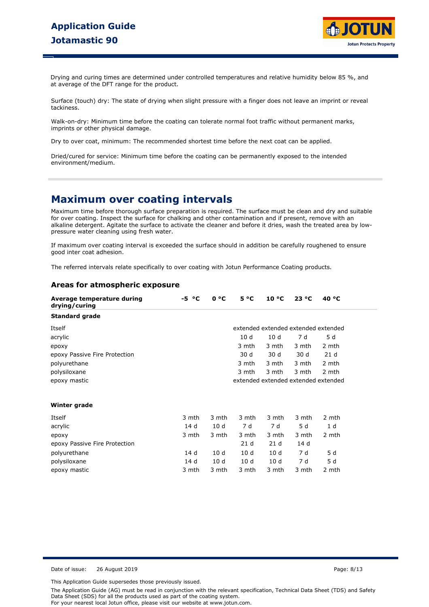

Drying and curing times are determined under controlled temperatures and relative humidity below 85 %, and at average of the DFT range for the product.

Surface (touch) dry: The state of drying when slight pressure with a finger does not leave an imprint or reveal tackiness.

Walk-on-dry: Minimum time before the coating can tolerate normal foot traffic without permanent marks, imprints or other physical damage.

Dry to over coat, minimum: The recommended shortest time before the next coat can be applied.

Dried/cured for service: Minimum time before the coating can be permanently exposed to the intended environment/medium.

## **Maximum over coating intervals**

Maximum time before thorough surface preparation is required. The surface must be clean and dry and suitable for over coating. Inspect the surface for chalking and other contamination and if present, remove with an alkaline detergent. Agitate the surface to activate the cleaner and before it dries, wash the treated area by lowpressure water cleaning using fresh water.

If maximum over coating interval is exceeded the surface should in addition be carefully roughened to ensure good inter coat adhesion.

The referred intervals relate specifically to over coating with Jotun Performance Coating products.

## **Areas for atmospheric exposure**

| Average temperature during<br>drying/curing | °€<br>-5. | 0 °C  | $5^{\circ}C$                        | 10 °C           | 23 °C | 40 $^{\circ}$ C                     |
|---------------------------------------------|-----------|-------|-------------------------------------|-----------------|-------|-------------------------------------|
| <b>Standard grade</b>                       |           |       |                                     |                 |       |                                     |
| Itself                                      |           |       |                                     |                 |       | extended extended extended extended |
| acrylic                                     |           |       | 10d                                 | 10d             | 7 d   | 5 d                                 |
| epoxy                                       |           |       | 3 mth                               | 3 mth           | 3 mth | 2 mth                               |
| epoxy Passive Fire Protection               |           |       | 30 d                                | 30 d            | 30 d  | 21 <sub>d</sub>                     |
| polyurethane                                |           |       | 3 mth                               | 3 mth           | 3 mth | 2 mth                               |
| polysiloxane                                |           |       | 3 mth                               | 3 mth           | 3 mth | 2 mth                               |
| epoxy mastic                                |           |       | extended extended extended extended |                 |       |                                     |
| Winter grade                                |           |       |                                     |                 |       |                                     |
| Itself                                      | 3 mth     | 3 mth | 3 mth                               | 3 mth           | 3 mth | 2 mth                               |
| acrylic                                     | 14 d      | 10d   | 7 d                                 | 7 d             | 5 d   | 1 d                                 |
| epoxy                                       | 3 mth     | 3 mth | 3 mth                               | 3 mth           | 3 mth | 2 mth                               |
| epoxy Passive Fire Protection               |           |       | 21 <sub>d</sub>                     | 21 <sub>d</sub> | 14 d  |                                     |
| polyurethane                                | 14 d      | 10d   | 10d                                 | 10d             | 7 d   | 5 d                                 |
| polysiloxane                                | 14 d      | 10 d  | 10 <sub>d</sub>                     | 10 <sub>d</sub> | 7 d   | 5 d                                 |

epoxy mastic 3 mth 3 mth 3 mth 3 mth 3 mth 2 mth

Date of issue: 26 August 2019 Page: 8/13

This Application Guide supersedes those previously issued.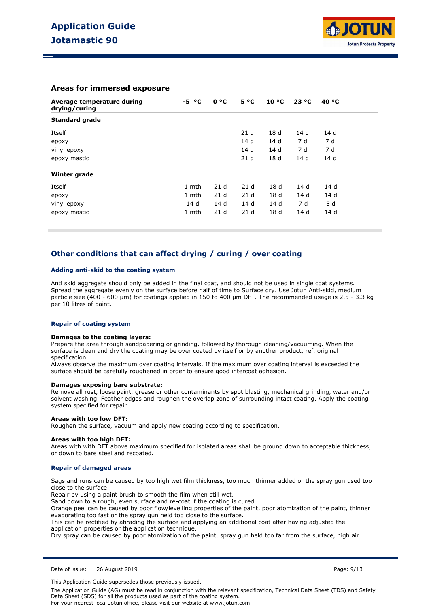

## **Areas for immersed exposure**

| Average temperature during<br>drying/curing | $-5 °C$ | 0 °C            | $5^{\circ}C$    | $10^{\circ}$ C  | 23 °C | 40 °C |
|---------------------------------------------|---------|-----------------|-----------------|-----------------|-------|-------|
| <b>Standard grade</b>                       |         |                 |                 |                 |       |       |
| Itself                                      |         |                 | 21 <sub>d</sub> | 18 <sub>d</sub> | 14 d  | 14 d  |
| ероху                                       |         |                 | 14 d            | 14 d            | 7 d   | 7 d   |
| vinyl epoxy                                 |         |                 | 14 d            | 14 d            | 7 d   | 7 d   |
| epoxy mastic                                |         |                 | 21 <sub>d</sub> | 18 <sub>d</sub> | 14 d  | 14 d  |
| Winter grade                                |         |                 |                 |                 |       |       |
| Itself                                      | 1 mth   | 21 <sub>d</sub> | 21 <sub>d</sub> | 18 <sub>d</sub> | 14d   | 14d   |
| ероху                                       | 1 mth   | 21 <sub>d</sub> | 21 <sub>d</sub> | 18 <sub>d</sub> | 14 d  | 14d   |
| vinyl epoxy                                 | 14 d    | 14d             | 14d             | 14d             | 7 d   | 5 d   |
| epoxy mastic                                | 1 mth   | 21 <sub>d</sub> | 21 <sub>d</sub> | 18 <sub>d</sub> | 14d   | 14d   |

## **Other conditions that can affect drying / curing / over coating**

#### **Adding anti-skid to the coating system**

Anti skid aggregate should only be added in the final coat, and should not be used in single coat systems. Spread the aggregate evenly on the surface before half of time to Surface dry. Use Jotun Anti-skid, medium particle size (400 - 600 µm) for coatings applied in 150 to 400 µm DFT. The recommended usage is 2.5 - 3.3 kg per 10 litres of paint.

#### **Repair of coating system**

#### **Damages to the coating layers:**

Prepare the area through sandpapering or grinding, followed by thorough cleaning/vacuuming. When the surface is clean and dry the coating may be over coated by itself or by another product, ref. original specification.

Always observe the maximum over coating intervals. If the maximum over coating interval is exceeded the surface should be carefully roughened in order to ensure good intercoat adhesion.

#### **Damages exposing bare substrate:**

Remove all rust, loose paint, grease or other contaminants by spot blasting, mechanical grinding, water and/or solvent washing. Feather edges and roughen the overlap zone of surrounding intact coating. Apply the coating system specified for repair.

#### **Areas with too low DFT:**

Roughen the surface, vacuum and apply new coating according to specification.

#### **Areas with too high DFT:**

Areas with with DFT above maximum specified for isolated areas shall be ground down to acceptable thickness, or down to bare steel and recoated.

#### **Repair of damaged areas**

Sags and runs can be caused by too high wet film thickness, too much thinner added or the spray gun used too close to the surface.

Repair by using a paint brush to smooth the film when still wet.

Sand down to a rough, even surface and re-coat if the coating is cured.

Orange peel can be caused by poor flow/levelling properties of the paint, poor atomization of the paint, thinner evaporating too fast or the spray gun held too close to the surface.

This can be rectified by abrading the surface and applying an additional coat after having adjusted the application properties or the application technique.

Dry spray can be caused by poor atomization of the paint, spray gun held too far from the surface, high air

Date of issue: 26 August 2019 Page: 9/13

This Application Guide supersedes those previously issued.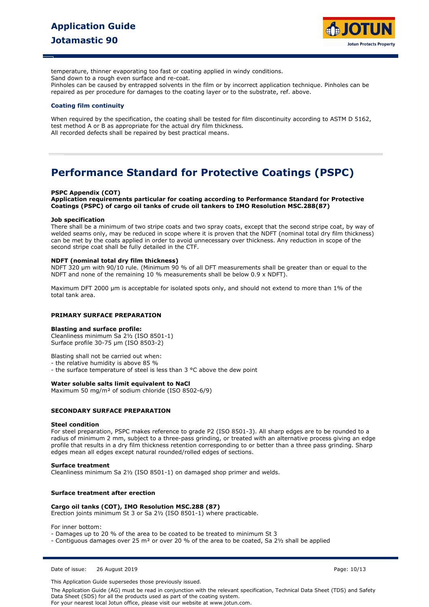

temperature, thinner evaporating too fast or coating applied in windy conditions.

Sand down to a rough even surface and re-coat.

Pinholes can be caused by entrapped solvents in the film or by incorrect application technique. Pinholes can be repaired as per procedure for damages to the coating layer or to the substrate, ref. above.

#### **Coating film continuity**

When required by the specification, the coating shall be tested for film discontinuity according to ASTM D 5162, test method A or B as appropriate for the actual dry film thickness. All recorded defects shall be repaired by best practical means.

## **Performance Standard for Protective Coatings (PSPC)**

#### **PSPC Appendix (COT)**

**Application requirements particular for coating according to Performance Standard for Protective Coatings (PSPC) of cargo oil tanks of crude oil tankers to IMO Resolution MSC.288(87)** 

#### **Job specification**

There shall be a minimum of two stripe coats and two spray coats, except that the second stripe coat, by way of welded seams only, may be reduced in scope where it is proven that the NDFT (nominal total dry film thickness) can be met by the coats applied in order to avoid unnecessary over thickness. Any reduction in scope of the second stripe coat shall be fully detailed in the CTF.

#### **NDFT (nominal total dry film thickness)**

NDFT 320 um with 90/10 rule. (Minimum 90 % of all DFT measurements shall be greater than or equal to the NDFT and none of the remaining 10 % measurements shall be below 0.9 x NDFT).

Maximum DFT 2000 µm is acceptable for isolated spots only, and should not extend to more than 1% of the total tank area.

#### **PRIMARY SURFACE PREPARATION**

#### **Blasting and surface profile:**

Cleanliness minimum Sa 2½ (ISO 8501-1) Surface profile 30-75 µm (ISO 8503-2)

Blasting shall not be carried out when:

- the relative humidity is above 85 %

- the surface temperature of steel is less than 3 °C above the dew point

#### **Water soluble salts limit equivalent to NaCl**

Maximum 50 mg/m² of sodium chloride (ISO 8502-6/9)

### **SECONDARY SURFACE PREPARATION**

#### **Steel condition**

For steel preparation, PSPC makes reference to grade P2 (ISO 8501-3). All sharp edges are to be rounded to a radius of minimum 2 mm, subject to a three-pass grinding, or treated with an alternative process giving an edge profile that results in a dry film thickness retention corresponding to or better than a three pass grinding. Sharp edges mean all edges except natural rounded/rolled edges of sections.

#### **Surface treatment**

Cleanliness minimum Sa 2½ (ISO 8501-1) on damaged shop primer and welds.

#### **Surface treatment after erection**

## **Cargo oil tanks (COT), IMO Resolution MSC.288 (87)**

Erection joints minimum St 3 or Sa 2½ (ISO 8501-1) where practicable.

For inner bottom:

- Damages up to 20 % of the area to be coated to be treated to minimum St 3
- Contiguous damages over 25 m² or over 20 % of the area to be coated, Sa 2½ shall be applied

Date of issue: 26 August 2019 Page: 10/13

This Application Guide supersedes those previously issued.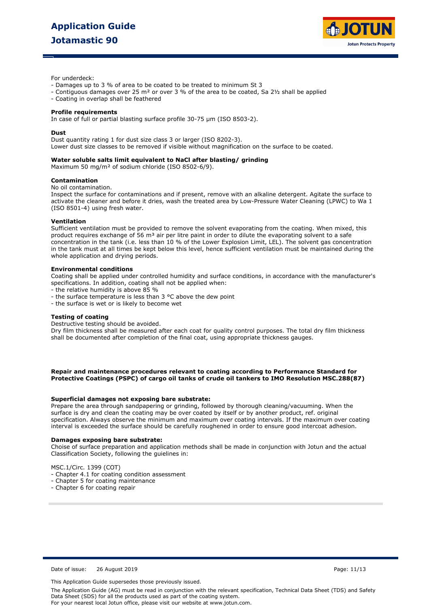

For underdeck:

- Damages up to 3 % of area to be coated to be treated to minimum St 3
- Contiguous damages over 25 m² or over 3 % of the area to be coated, Sa 2½ shall be applied
- Coating in overlap shall be feathered

#### **Profile requirements**

In case of full or partial blasting surface profile 30-75 µm (ISO 8503-2).

#### **Dust**

Dust quantity rating 1 for dust size class 3 or larger (ISO 8202-3). Lower dust size classes to be removed if visible without magnification on the surface to be coated.

#### **Water soluble salts limit equivalent to NaCl after blasting/ grinding**

Maximum 50 mg/m² of sodium chloride (ISO 8502-6/9).

#### **Contamination**

No oil contamination.

Inspect the surface for contaminations and if present, remove with an alkaline detergent. Agitate the surface to activate the cleaner and before it dries, wash the treated area by Low-Pressure Water Cleaning (LPWC) to Wa 1 (ISO 8501-4) using fresh water.

#### **Ventilation**

Sufficient ventilation must be provided to remove the solvent evaporating from the coating. When mixed, this product requires exchange of 56 m<sup>3</sup> air per litre paint in order to dilute the evaporating solvent to a safe concentration in the tank (i.e. less than 10 % of the Lower Explosion Limit, LEL). The solvent gas concentration in the tank must at all times be kept below this level, hence sufficient ventilation must be maintained during the whole application and drying periods.

#### **Environmental conditions**

Coating shall be applied under controlled humidity and surface conditions, in accordance with the manufacturer's specifications. In addition, coating shall not be applied when:

- the relative humidity is above 85 %
- the surface temperature is less than 3 °C above the dew point
- the surface is wet or is likely to become wet

#### **Testing of coating**

Destructive testing should be avoided.

Dry film thickness shall be measured after each coat for quality control purposes. The total dry film thickness shall be documented after completion of the final coat, using appropriate thickness gauges.

**Repair and maintenance procedures relevant to coating according to Performance Standard for Protective Coatings (PSPC) of cargo oil tanks of crude oil tankers to IMO Resolution MSC.288(87)**

#### **Superficial damages not exposing bare substrate:**

Prepare the area through sandpapering or grinding, followed by thorough cleaning/vacuuming. When the surface is dry and clean the coating may be over coated by itself or by another product, ref. original specification. Always observe the minimum and maximum over coating intervals. If the maximum over coating interval is exceeded the surface should be carefully roughened in order to ensure good intercoat adhesion.

#### **Damages exposing bare substrate:**

Choise of surface preparation and application methods shall be made in conjunction with Jotun and the actual Classification Society, following the guielines in:

MSC.1/Circ. 1399 (COT)

- Chapter 4.1 for coating condition assessment
- Chapter 5 for coating maintenance
- Chapter 6 for coating repair

Date of issue: 26 August 2019 Page: 11/13

This Application Guide supersedes those previously issued.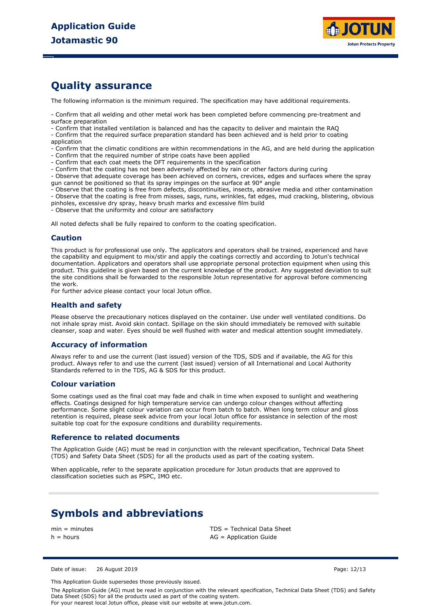

## **Quality assurance**

The following information is the minimum required. The specification may have additional requirements.

- Confirm that all welding and other metal work has been completed before commencing pre-treatment and surface preparation

- Confirm that installed ventilation is balanced and has the capacity to deliver and maintain the RAQ

- Confirm that the required surface preparation standard has been achieved and is held prior to coating application

- Confirm that the climatic conditions are within recommendations in the AG, and are held during the application

- Confirm that the required number of stripe coats have been applied
- Confirm that each coat meets the DFT requirements in the specification
- Confirm that the coating has not been adversely affected by rain or other factors during curing

- Observe that adequate coverage has been achieved on corners, crevices, edges and surfaces where the spray gun cannot be positioned so that its spray impinges on the surface at 90° angle

- Observe that the coating is free from defects, discontinuities, insects, abrasive media and other contamination

- Observe that the coating is free from misses, sags, runs, wrinkles, fat edges, mud cracking, blistering, obvious

pinholes, excessive dry spray, heavy brush marks and excessive film build

- Observe that the uniformity and colour are satisfactory

All noted defects shall be fully repaired to conform to the coating specification.

### **Caution**

This product is for professional use only. The applicators and operators shall be trained, experienced and have the capability and equipment to mix/stir and apply the coatings correctly and according to Jotun's technical documentation. Applicators and operators shall use appropriate personal protection equipment when using this product. This guideline is given based on the current knowledge of the product. Any suggested deviation to suit the site conditions shall be forwarded to the responsible Jotun representative for approval before commencing the work.

For further advice please contact your local Jotun office.

## **Health and safety**

Please observe the precautionary notices displayed on the container. Use under well ventilated conditions. Do not inhale spray mist. Avoid skin contact. Spillage on the skin should immediately be removed with suitable cleanser, soap and water. Eyes should be well flushed with water and medical attention sought immediately.

## **Accuracy of information**

Always refer to and use the current (last issued) version of the TDS, SDS and if available, the AG for this product. Always refer to and use the current (last issued) version of all International and Local Authority Standards referred to in the TDS, AG & SDS for this product.

### **Colour variation**

Some coatings used as the final coat may fade and chalk in time when exposed to sunlight and weathering effects. Coatings designed for high temperature service can undergo colour changes without affecting performance. Some slight colour variation can occur from batch to batch. When long term colour and gloss retention is required, please seek advice from your local Jotun office for assistance in selection of the most suitable top coat for the exposure conditions and durability requirements.

### **Reference to related documents**

The Application Guide (AG) must be read in conjunction with the relevant specification, Technical Data Sheet (TDS) and Safety Data Sheet (SDS) for all the products used as part of the coating system.

When applicable, refer to the separate application procedure for Jotun products that are approved to classification societies such as PSPC, IMO etc.

## **Symbols and abbreviations**

min = minutes TDS = Technical Data Sheet  $h =$  hours  $AG =$  Application Guide

Date of issue: 26 August 2019 Page: 12/13

This Application Guide supersedes those previously issued.